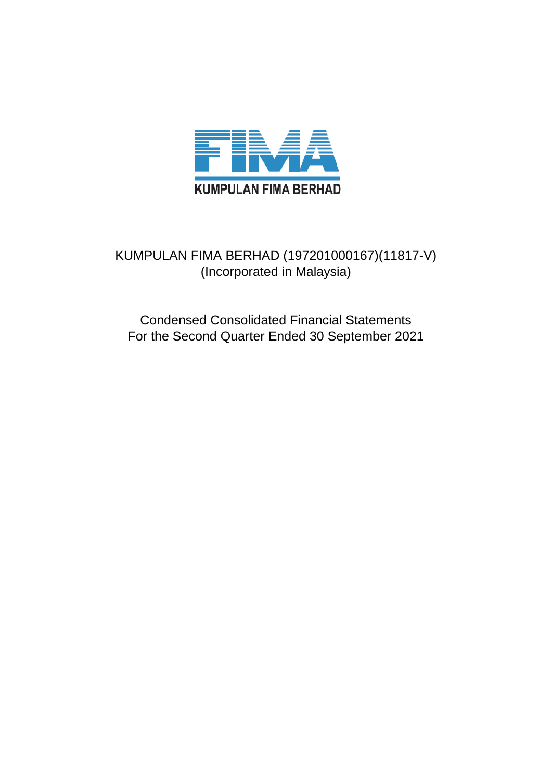

## KUMPULAN FIMA BERHAD (197201000167)(11817-V) (Incorporated in Malaysia)

Condensed Consolidated Financial Statements For the Second Quarter Ended 30 September 2021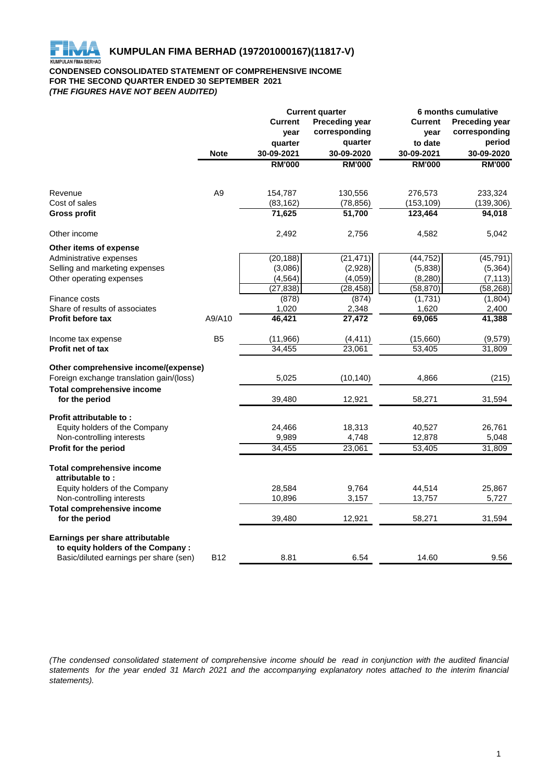

#### **CONDENSED CONSOLIDATED STATEMENT OF COMPREHENSIVE INCOME FOR THE SECOND QUARTER ENDED 30 SEPTEMBER 2021** *(THE FIGURES HAVE NOT BEEN AUDITED)*

|                                          |                |                                         | <b>Current quarter</b> | 6 months cumulative |                       |  |
|------------------------------------------|----------------|-----------------------------------------|------------------------|---------------------|-----------------------|--|
|                                          |                | <b>Current</b><br><b>Preceding year</b> |                        | <b>Current</b>      | <b>Preceding year</b> |  |
|                                          |                | year                                    | corresponding          | year                | corresponding         |  |
|                                          |                | quarter                                 | quarter                | to date             | period                |  |
|                                          | <b>Note</b>    | 30-09-2021                              | 30-09-2020             | 30-09-2021          | 30-09-2020            |  |
|                                          |                | <b>RM'000</b>                           | <b>RM'000</b>          | <b>RM'000</b>       | <b>RM'000</b>         |  |
|                                          |                |                                         |                        |                     |                       |  |
| Revenue                                  | A <sub>9</sub> | 154,787                                 | 130,556                | 276,573             | 233,324               |  |
| Cost of sales                            |                | (83, 162)                               | (78, 856)              | (153, 109)          | (139, 306)            |  |
| <b>Gross profit</b>                      |                | 71,625                                  | 51,700                 | 123,464             | 94,018                |  |
| Other income                             |                | 2,492                                   | 2,756                  | 4,582               | 5,042                 |  |
| Other items of expense                   |                |                                         |                        |                     |                       |  |
| Administrative expenses                  |                | (20, 188)                               | (21, 471)              | (44, 752)           | (45, 791)             |  |
| Selling and marketing expenses           |                | (3,086)                                 | (2,928)                | (5,838)             | (5,364)               |  |
| Other operating expenses                 |                | (4, 564)                                | (4,059)                | (8, 280)            | (7, 113)              |  |
|                                          |                | (27, 838)                               | (28, 458)              | (58, 870)           | (58, 268)             |  |
| Finance costs                            |                | (878)                                   | (874)                  | (1,731)             | (1,804)               |  |
| Share of results of associates           |                | 1,020                                   | 2,348                  | 1,620               | 2,400                 |  |
| <b>Profit before tax</b>                 | A9/A10         | 46,421                                  | 27,472                 | 69,065              | 41,388                |  |
| Income tax expense                       | B <sub>5</sub> | (11, 966)                               | (4, 411)               | (15,660)            | (9,579)               |  |
| <b>Profit net of tax</b>                 |                | 34,455                                  | 23,061                 | 53,405              | 31,809                |  |
| Other comprehensive income/(expense)     |                |                                         |                        |                     |                       |  |
| Foreign exchange translation gain/(loss) |                | 5,025                                   | (10, 140)              | 4,866               | (215)                 |  |
| <b>Total comprehensive income</b>        |                |                                         |                        |                     |                       |  |
| for the period                           |                | 39,480                                  | 12,921                 | 58,271              | 31,594                |  |
| Profit attributable to:                  |                |                                         |                        |                     |                       |  |
| Equity holders of the Company            |                | 24,466                                  | 18,313                 | 40,527              | 26,761                |  |
| Non-controlling interests                |                | 9,989                                   | 4,748                  | 12,878              | 5,048                 |  |
| Profit for the period                    |                | 34,455                                  | 23,061                 | 53,405              | 31,809                |  |
| <b>Total comprehensive income</b>        |                |                                         |                        |                     |                       |  |
| attributable to:                         |                |                                         |                        |                     |                       |  |
| Equity holders of the Company            |                | 28,584                                  | 9,764                  | 44,514              | 25,867                |  |
| Non-controlling interests                |                | 10,896                                  | 3,157                  | 13,757              | 5,727                 |  |
| <b>Total comprehensive income</b>        |                |                                         |                        |                     |                       |  |
| for the period                           |                | 39,480                                  | 12,921                 | 58,271              | 31,594                |  |
| Earnings per share attributable          |                |                                         |                        |                     |                       |  |
| to equity holders of the Company:        | <b>B12</b>     |                                         |                        |                     |                       |  |
| Basic/diluted earnings per share (sen)   |                | 8.81                                    | 6.54                   | 14.60               | 9.56                  |  |

(The condensed consolidated statement of comprehensive income should be read in conjunction with the audited financial statements for the year ended 31 March 2021 and the accompanying explanatory notes attached to the interim financial *statements).*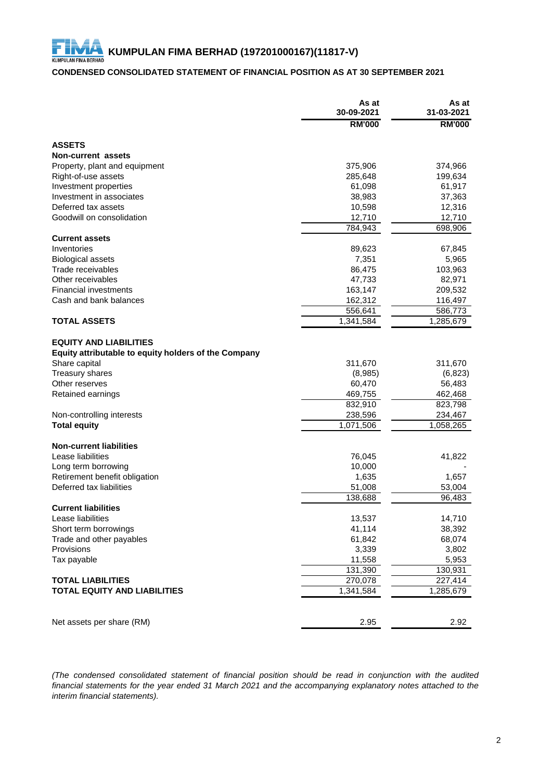## **CONDENSED CONSOLIDATED STATEMENT OF FINANCIAL POSITION AS AT 30 SEPTEMBER 2021**

|                                                      | As at<br>30-09-2021 | As at<br>31-03-2021 |
|------------------------------------------------------|---------------------|---------------------|
|                                                      | <b>RM'000</b>       | <b>RM'000</b>       |
| <b>ASSETS</b>                                        |                     |                     |
| <b>Non-current assets</b>                            |                     |                     |
| Property, plant and equipment                        | 375,906             | 374,966             |
| Right-of-use assets                                  | 285,648             | 199,634             |
| Investment properties                                | 61,098              | 61,917              |
| Investment in associates                             | 38,983              | 37,363              |
| Deferred tax assets                                  | 10,598              | 12,316              |
| Goodwill on consolidation                            | 12,710              | 12,710              |
|                                                      | 784,943             | 698,906             |
| <b>Current assets</b>                                |                     |                     |
| Inventories                                          | 89,623              | 67,845              |
| <b>Biological assets</b>                             | 7,351               | 5,965               |
| Trade receivables                                    | 86,475              | 103,963             |
| Other receivables                                    | 47,733              | 82,971              |
| <b>Financial investments</b>                         | 163,147             | 209,532             |
| Cash and bank balances                               | 162,312             | 116,497             |
|                                                      | 556,641             | 586,773             |
| <b>TOTAL ASSETS</b>                                  | 1,341,584           | 1,285,679           |
| <b>EQUITY AND LIABILITIES</b>                        |                     |                     |
| Equity attributable to equity holders of the Company |                     |                     |
| Share capital                                        | 311,670             | 311,670             |
| Treasury shares                                      | (8,985)             | (6, 823)            |
| Other reserves                                       | 60,470              | 56,483              |
| Retained earnings                                    | 469,755             | 462,468             |
|                                                      | 832,910             | 823,798             |
| Non-controlling interests                            | 238,596             | 234,467             |
| <b>Total equity</b>                                  | 1,071,506           | 1,058,265           |
| <b>Non-current liabilities</b>                       |                     |                     |
| Lease liabilities                                    | 76,045              | 41,822              |
| Long term borrowing                                  | 10,000              |                     |
| Retirement benefit obligation                        | 1,635               | 1,657               |
| Deferred tax liabilities                             | 51,008              | 53,004              |
|                                                      | 138,688             | 96,483              |
| <b>Current liabilities</b>                           |                     |                     |
| Lease liabilities                                    | 13,537              | 14,710              |
| Short term borrowings                                | 41,114              | 38,392              |
| Trade and other payables                             | 61,842              | 68,074              |
| Provisions                                           | 3,339               | 3,802               |
| Tax payable                                          | 11,558              | 5,953               |
|                                                      | 131,390             | 130,931             |
| <b>TOTAL LIABILITIES</b>                             | 270,078             | 227,414             |
| <b>TOTAL EQUITY AND LIABILITIES</b>                  | 1,341,584           | 1,285,679           |
|                                                      |                     |                     |
|                                                      |                     |                     |
| Net assets per share (RM)                            | 2.95                | 2.92                |

*(The condensed consolidated statement of financial position should be read in conjunction with the audited* financial statements for the year ended 31 March 2021 and the accompanying explanatory notes attached to the *interim financial statements).*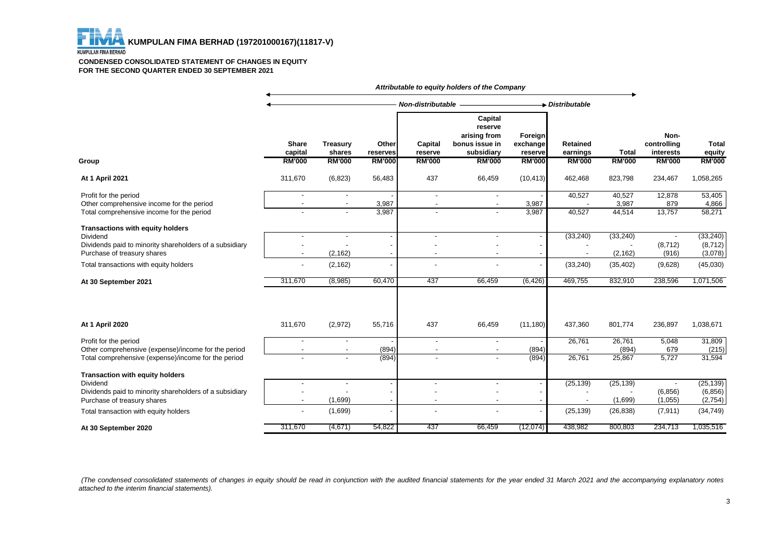

#### **CONDENSED CONSOLIDATED STATEMENT OF CHANGES IN EQUITY FOR THE SECOND QUARTER ENDED 30 SEPTEMBER 2021**

|                                                                                                                                                                                  |                                                                        |                                        |                   |                                                      | Attributable to equity holders of the Company                      |                                |                             |                                    |                                  |                                              |
|----------------------------------------------------------------------------------------------------------------------------------------------------------------------------------|------------------------------------------------------------------------|----------------------------------------|-------------------|------------------------------------------------------|--------------------------------------------------------------------|--------------------------------|-----------------------------|------------------------------------|----------------------------------|----------------------------------------------|
|                                                                                                                                                                                  |                                                                        |                                        |                   | <b>Non-distributable</b>                             |                                                                    |                                | Distributable               |                                    |                                  |                                              |
|                                                                                                                                                                                  | <b>Share</b><br>capital                                                | <b>Treasury</b><br>shares              | Other<br>reserves | Capital<br>reserve                                   | Capital<br>reserve<br>arising from<br>bonus issue in<br>subsidiary | Foreign<br>exchange<br>reserve | <b>Retained</b><br>earnings | <b>Total</b>                       | Non-<br>controlling<br>interests | <b>Total</b><br>equity                       |
| Group                                                                                                                                                                            | <b>RM'000</b>                                                          | <b>RM'000</b>                          | <b>RM'000</b>     | <b>RM'000</b>                                        | <b>RM'000</b>                                                      | <b>RM'000</b>                  | <b>RM'000</b>               | <b>RM'000</b>                      | <b>RM'000</b>                    | <b>RM'000</b>                                |
| At 1 April 2021                                                                                                                                                                  | 311,670                                                                | (6, 823)                               | 56,483            | 437                                                  | 66,459                                                             | (10, 413)                      | 462,468                     | 823,798                            | 234,467                          | 1,058,265                                    |
| Profit for the period<br>Other comprehensive income for the period<br>Total comprehensive income for the period                                                                  |                                                                        |                                        | 3,987<br>3,987    | $\overline{\phantom{a}}$<br>$\overline{\phantom{a}}$ | $\overline{\phantom{a}}$<br>$\overline{\phantom{a}}$               | 3,987<br>3,987                 | 40,527<br>40,527            | 40,527<br>3,987<br>44,514          | 12,878<br>879<br>13,757          | $\overline{53,405}$<br>4,866<br>58,271       |
| Transactions with equity holders<br>Dividend<br>Dividends paid to minority shareholders of a subsidiary<br>Purchase of treasury shares<br>Total transactions with equity holders | $\overline{\phantom{a}}$<br>$\blacksquare$<br>$\overline{\phantom{a}}$ | $\overline{a}$<br>(2, 162)<br>(2, 162) |                   |                                                      | $\overline{a}$<br>$\overline{\phantom{a}}$<br>$\blacksquare$       |                                | (33, 240)<br>(33, 240)      | (33, 240)<br>(2, 162)<br>(35, 402) | (8, 712)<br>(916)<br>(9,628)     | (33, 240)<br>(8, 712)<br>(3,078)<br>(45,030) |
| At 30 September 2021                                                                                                                                                             | 311,670                                                                | (8,985)                                | 60,470            | 437                                                  | 66,459                                                             | (6, 426)                       | 469,755                     | 832,910                            | 238,596                          | 1,071,506                                    |
| At 1 April 2020                                                                                                                                                                  | 311,670                                                                | (2,972)                                | 55,716            | 437                                                  | 66,459                                                             | (11, 180)                      | 437,360                     | 801,774                            | 236,897                          | 1,038,671                                    |
| Profit for the period<br>Other comprehensive (expense)/income for the period<br>Total comprehensive (expense)/income for the period                                              |                                                                        |                                        | (894)<br>(894)    | $\overline{\phantom{a}}$<br>$\overline{\phantom{a}}$ | $\overline{\phantom{a}}$<br>$\overline{\phantom{a}}$               | (894)<br>(894)                 | 26,761<br>26,761            | 26,761<br>(894)<br>25,867          | 5,048<br>679<br>5,727            | 31,809<br>(215)<br>31,594                    |
| <b>Transaction with equity holders</b><br>Dividend<br>Dividends paid to minority shareholders of a subsidiary<br>Purchase of treasury shares                                     |                                                                        | $\overline{\phantom{a}}$<br>(1,699)    |                   |                                                      | $\overline{\phantom{a}}$<br>$\blacksquare$                         |                                | (25, 139)                   | (25, 139)<br>(1,699)               | (6, 856)<br>(1,055)              | (25, 139)<br>(6, 856)<br>(2,754)             |
| Total transaction with equity holders                                                                                                                                            |                                                                        | (1,699)                                |                   |                                                      |                                                                    |                                | (25, 139)                   | (26, 838)                          | (7, 911)                         | (34, 749)                                    |
| At 30 September 2020                                                                                                                                                             | 311,670                                                                | (4,671)                                | 54,822            | 437                                                  | 66,459                                                             | (12,074)                       | 438,982                     | 800,803                            | 234,713                          | 1,035,516                                    |

(The condensed consolidated statements of changes in equity should be read in conjunction with the audited financial statements for the year ended 31 March 2021 and the accompanying explanatory notes *attached to the interim financial statements).*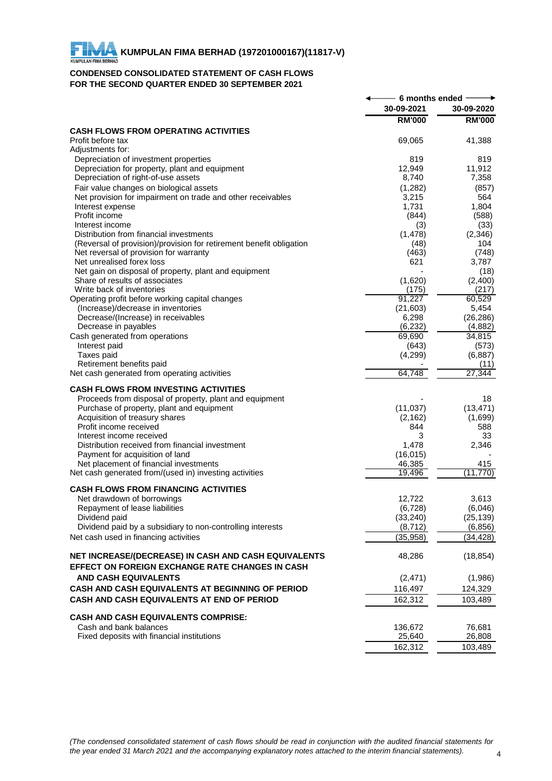## **CONDENSED CONSOLIDATED STATEMENT OF CASH FLOWS FOR THE SECOND QUARTER ENDED 30 SEPTEMBER 2021**

|                                                                                         | 6 months ended |                 |
|-----------------------------------------------------------------------------------------|----------------|-----------------|
|                                                                                         | 30-09-2021     | 30-09-2020      |
|                                                                                         | <b>RM'000</b>  | <b>RM'000</b>   |
| <b>CASH FLOWS FROM OPERATING ACTIVITIES</b>                                             |                |                 |
| Profit before tax                                                                       | 69,065         | 41,388          |
| Adjustments for:                                                                        | 819            | 819             |
| Depreciation of investment properties<br>Depreciation for property, plant and equipment | 12,949         | 11,912          |
| Depreciation of right-of-use assets                                                     | 8,740          | 7,358           |
| Fair value changes on biological assets                                                 | (1,282)        | (857)           |
| Net provision for impairment on trade and other receivables                             | 3,215          | 564             |
| Interest expense                                                                        | 1,731          | 1,804           |
| Profit income                                                                           | (844)          | (588)           |
| Interest income                                                                         | (3)            | (33)            |
| Distribution from financial investments                                                 | (1, 478)       | (2,346)         |
| (Reversal of provision)/provision for retirement benefit obligation                     | (48)           | 104             |
| Net reversal of provision for warranty                                                  | (463)          | (748)           |
| Net unrealised forex loss                                                               | 621            | 3,787           |
| Net gain on disposal of property, plant and equipment<br>Share of results of associates | (1,620)        | (18)<br>(2,400) |
| Write back of inventories                                                               | (175)          | (217)           |
| Operating profit before working capital changes                                         | 91,227         | 60,529          |
| (Increase)/decrease in inventories                                                      | (21, 603)      | 5,454           |
| Decrease/(Increase) in receivables                                                      | 6,298          | (26, 286)       |
| Decrease in payables                                                                    | (6, 232)       | (4,882)         |
| Cash generated from operations                                                          | 69,690         | 34,815          |
| Interest paid                                                                           | (643)          | (573)           |
| Taxes paid                                                                              | (4, 299)       | (6, 887)        |
| Retirement benefits paid                                                                |                | (11)            |
| Net cash generated from operating activities                                            | 64,748         | 27,344          |
| <b>CASH FLOWS FROM INVESTING ACTIVITIES</b>                                             |                |                 |
| Proceeds from disposal of property, plant and equipment                                 |                | 18              |
| Purchase of property, plant and equipment                                               | (11, 037)      | (13, 471)       |
| Acquisition of treasury shares                                                          | (2, 162)       | (1,699)         |
| Profit income received                                                                  | 844            | 588             |
| Interest income received                                                                | 3              | 33              |
| Distribution received from financial investment                                         | 1,478          | 2,346           |
| Payment for acquisition of land                                                         | (16, 015)      |                 |
| Net placement of financial investments                                                  | 46,385         | 415             |
| Net cash generated from/(used in) investing activities                                  | 19.496         | (11, 770)       |
| <b>CASH FLOWS FROM FINANCING ACTIVITIES</b>                                             |                |                 |
| Net drawdown of borrowings                                                              | 12,722         | 3,613           |
| Repayment of lease liabilities                                                          | (6, 728)       | (6,046)         |
| Dividend paid                                                                           | (33, 240)      | (25, 139)       |
| Dividend paid by a subsidiary to non-controlling interests                              | (8, 712)       | (6, 856)        |
| Net cash used in financing activities                                                   | (35, 958)      | (34, 428)       |
|                                                                                         |                |                 |
| NET INCREASE/(DECREASE) IN CASH AND CASH EQUIVALENTS                                    | 48,286         | (18, 854)       |
| EFFECT ON FOREIGN EXCHANGE RATE CHANGES IN CASH                                         |                |                 |
| <b>AND CASH EQUIVALENTS</b>                                                             | (2,471)        | (1,986)         |
| CASH AND CASH EQUIVALENTS AT BEGINNING OF PERIOD                                        | 116,497        | 124,329         |
| CASH AND CASH EQUIVALENTS AT END OF PERIOD                                              | 162,312        | 103,489         |
|                                                                                         |                |                 |
| <b>CASH AND CASH EQUIVALENTS COMPRISE:</b>                                              |                |                 |
| Cash and bank balances                                                                  | 136,672        | 76,681          |
| Fixed deposits with financial institutions                                              | 25,640         | 26,808          |
|                                                                                         | 162,312        | 103,489         |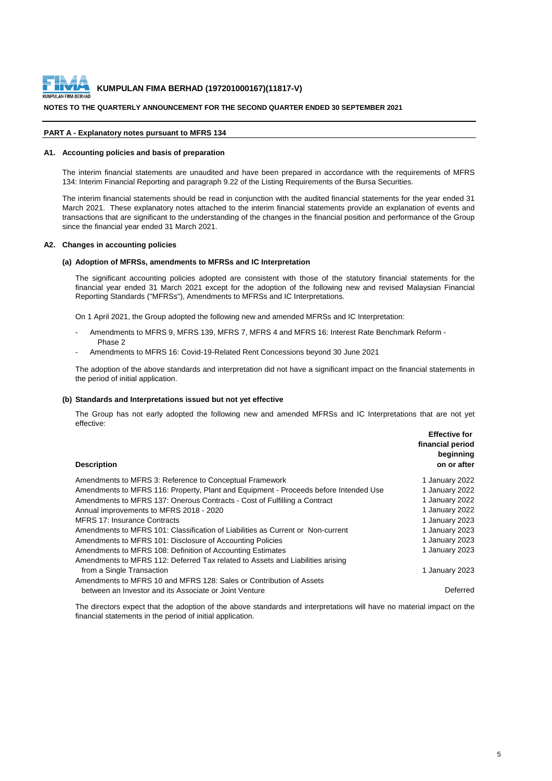

#### **NOTES TO THE QUARTERLY ANNOUNCEMENT FOR THE SECOND QUARTER ENDED 30 SEPTEMBER 2021**

#### **PART A - Explanatory notes pursuant to MFRS 134**

#### **A1. Accounting policies and basis of preparation**

The interim financial statements are unaudited and have been prepared in accordance with the requirements of MFRS 134: Interim Financial Reporting and paragraph 9.22 of the Listing Requirements of the Bursa Securities.

The interim financial statements should be read in conjunction with the audited financial statements for the year ended 31 March 2021. These explanatory notes attached to the interim financial statements provide an explanation of events and transactions that are significant to the understanding of the changes in the financial position and performance of the Group since the financial year ended 31 March 2021.

#### **A2. Changes in accounting policies**

#### **(a) Adoption of MFRSs, amendments to MFRSs and IC Interpretation**

The significant accounting policies adopted are consistent with those of the statutory financial statements for the financial year ended 31 March 2021 except for the adoption of the following new and revised Malaysian Financial Reporting Standards ("MFRSs"), Amendments to MFRSs and IC Interpretations.

On 1 April 2021, the Group adopted the following new and amended MFRSs and IC Interpretation:

- Amendments to MFRS 9, MFRS 139, MFRS 7, MFRS 4 and MFRS 16: Interest Rate Benchmark Reform -Phase 2
- Amendments to MFRS 16: Covid-19-Related Rent Concessions beyond 30 June 2021

The adoption of the above standards and interpretation did not have a significant impact on the financial statements in the period of initial application.

#### **(b) Standards and Interpretations issued but not yet effective**

**Effective for**  The Group has not early adopted the following new and amended MFRSs and IC Interpretations that are not yet effective:

| <b>Description</b>                                                                   | <b>Effective for</b><br>financial period<br>beginning<br>on or after |
|--------------------------------------------------------------------------------------|----------------------------------------------------------------------|
| Amendments to MFRS 3: Reference to Conceptual Framework                              | 1 January 2022                                                       |
| Amendments to MFRS 116: Property, Plant and Equipment - Proceeds before Intended Use | 1 January 2022                                                       |
| Amendments to MFRS 137: Onerous Contracts - Cost of Fulfilling a Contract            | 1 January 2022                                                       |
| Annual improvements to MFRS 2018 - 2020                                              | 1 January 2022                                                       |
| <b>MFRS 17: Insurance Contracts</b>                                                  | 1 January 2023                                                       |
| Amendments to MFRS 101: Classification of Liabilities as Current or Non-current      | 1 January 2023                                                       |
| Amendments to MFRS 101: Disclosure of Accounting Policies                            | 1 January 2023                                                       |
| Amendments to MFRS 108: Definition of Accounting Estimates                           | 1 January 2023                                                       |
| Amendments to MFRS 112: Deferred Tax related to Assets and Liabilities arising       |                                                                      |
| from a Single Transaction                                                            | 1 January 2023                                                       |
| Amendments to MFRS 10 and MFRS 128: Sales or Contribution of Assets                  |                                                                      |
| between an Investor and its Associate or Joint Venture                               | Deferred                                                             |
|                                                                                      |                                                                      |

The directors expect that the adoption of the above standards and interpretations will have no material impact on the financial statements in the period of initial application.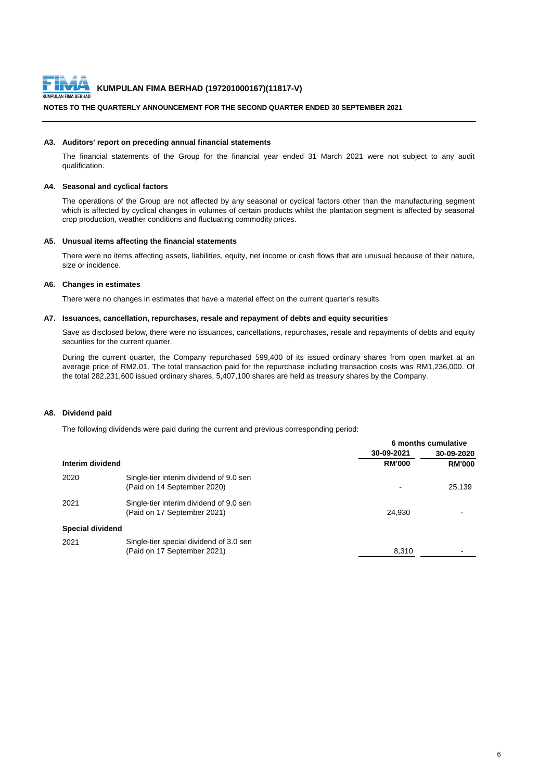

#### **NOTES TO THE QUARTERLY ANNOUNCEMENT FOR THE SECOND QUARTER ENDED 30 SEPTEMBER 2021**

#### **A3. Auditors' report on preceding annual financial statements**

The financial statements of the Group for the financial year ended 31 March 2021 were not subject to any audit qualification.

#### **A4. Seasonal and cyclical factors**

The operations of the Group are not affected by any seasonal or cyclical factors other than the manufacturing segment which is affected by cyclical changes in volumes of certain products whilst the plantation segment is affected by seasonal crop production, weather conditions and fluctuating commodity prices.

#### **A5. Unusual items affecting the financial statements**

There were no items affecting assets, liabilities, equity, net income or cash flows that are unusual because of their nature, size or incidence.

#### **A6. Changes in estimates**

There were no changes in estimates that have a material effect on the current quarter's results.

#### **A7. Issuances, cancellation, repurchases, resale and repayment of debts and equity securities**

Save as disclosed below, there were no issuances, cancellations, repurchases, resale and repayments of debts and equity securities for the current quarter.

During the current quarter, the Company repurchased 599,400 of its issued ordinary shares from open market at an average price of RM2.01. The total transaction paid for the repurchase including transaction costs was RM1,236,000. Of the total 282,231,600 issued ordinary shares, 5,407,100 shares are held as treasury shares by the Company.

#### **A8. Dividend paid**

The following dividends were paid during the current and previous corresponding period:

|                         |                                                                        | 6 months cumulative |               |
|-------------------------|------------------------------------------------------------------------|---------------------|---------------|
|                         |                                                                        | 30-09-2021          | 30-09-2020    |
| Interim dividend        |                                                                        | <b>RM'000</b>       | <b>RM'000</b> |
| 2020                    | Single-tier interim dividend of 9.0 sen<br>(Paid on 14 September 2020) |                     | 25,139        |
| 2021                    | Single-tier interim dividend of 9.0 sen<br>(Paid on 17 September 2021) | 24.930              |               |
| <b>Special dividend</b> |                                                                        |                     |               |
| 2021                    | Single-tier special dividend of 3.0 sen<br>(Paid on 17 September 2021) | 8,310               |               |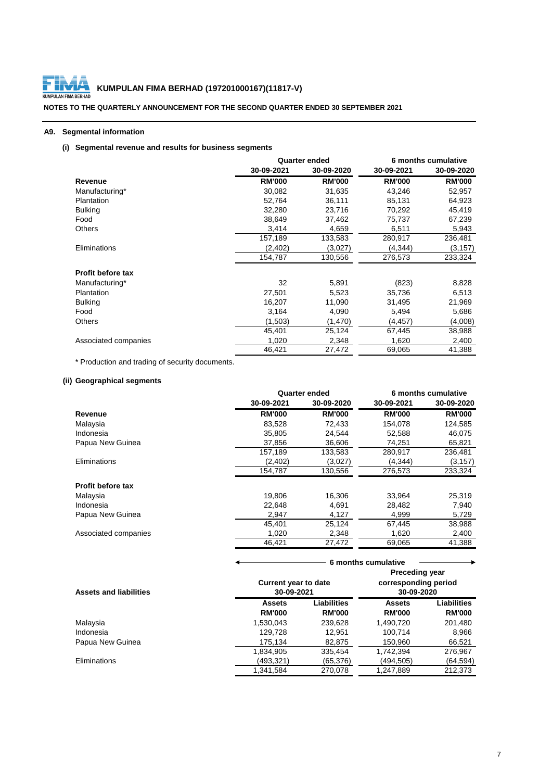

# **KUMPULAN FIMA BERHAD (197201000167)(11817-V)**<br>ULAN FIMA BERHAD

**NOTES TO THE QUARTERLY ANNOUNCEMENT FOR THE SECOND QUARTER ENDED 30 SEPTEMBER 2021**

#### **A9. Segmental information**

## **(i) Segmental revenue and results for business segments**

|                          |               | <b>Quarter ended</b> | 6 months cumulative |               |  |
|--------------------------|---------------|----------------------|---------------------|---------------|--|
|                          | 30-09-2021    | 30-09-2020           | 30-09-2021          | 30-09-2020    |  |
| Revenue                  | <b>RM'000</b> | <b>RM'000</b>        | <b>RM'000</b>       | <b>RM'000</b> |  |
| Manufacturing*           | 30,082        | 31,635               | 43,246              | 52,957        |  |
| Plantation               | 52,764        | 36,111               | 85,131              | 64,923        |  |
| <b>Bulking</b>           | 32,280        | 23,716               | 70,292              | 45,419        |  |
| Food                     | 38,649        | 37,462               | 75,737              | 67,239        |  |
| <b>Others</b>            | 3,414         | 4,659                | 6,511               | 5,943         |  |
|                          | 157,189       | 133,583              | 280,917             | 236,481       |  |
| Eliminations             | (2,402)       | (3,027)              | (4,344)             | (3,157)       |  |
|                          | 154,787       | 130.556              | 276,573             | 233,324       |  |
| <b>Profit before tax</b> |               |                      |                     |               |  |
| Manufacturing*           | 32            | 5,891                | (823)               | 8,828         |  |
| Plantation               | 27,501        | 5,523                | 35,736              | 6,513         |  |
| <b>Bulking</b>           | 16,207        | 11,090               | 31,495              | 21,969        |  |
| Food                     | 3,164         | 4,090                | 5,494               | 5,686         |  |
| <b>Others</b>            | (1,503)       | (1,470)              | (4,457)             | (4,008)       |  |
|                          | 45,401        | 25,124               | 67,445              | 38,988        |  |
| Associated companies     | 1,020         | 2,348                | 1,620               | 2,400         |  |
|                          | 46,421        | 27,472               | 69,065              | 41,388        |  |

\* Production and trading of security documents.

## **(ii) Geographical segments**

|                      |               | Quarter ended | 6 months cumulative |               |
|----------------------|---------------|---------------|---------------------|---------------|
|                      | 30-09-2021    | 30-09-2020    | 30-09-2021          | 30-09-2020    |
| Revenue              | <b>RM'000</b> | <b>RM'000</b> | <b>RM'000</b>       | <b>RM'000</b> |
| Malaysia             | 83,528        | 72,433        | 154.078             | 124,585       |
| Indonesia            | 35,805        | 24,544        | 52,588              | 46,075        |
| Papua New Guinea     | 37.856        | 36,606        | 74,251              | 65,821        |
|                      | 157,189       | 133,583       | 280,917             | 236,481       |
| Eliminations         | (2,402)       | (3,027)       | (4, 344)            | (3, 157)      |
|                      | 154,787       | 130,556       | 276,573             | 233,324       |
| Profit before tax    |               |               |                     |               |
| Malaysia             | 19,806        | 16,306        | 33,964              | 25,319        |
| Indonesia            | 22,648        | 4,691         | 28,482              | 7,940         |
| Papua New Guinea     | 2,947         | 4,127         | 4,999               | 5,729         |
|                      | 45.401        | 25,124        | 67,445              | 38,988        |
| Associated companies | 1.020         | 2,348         | 1,620               | 2,400         |
|                      | 46,421        | 27,472        | 69,065              | 41,388        |

| <b>Assets and liabilities</b> | <b>Preceding year</b><br>corresponding period<br><b>Current year to date</b><br>30-09-2021<br>30-09-2020 |                    |               |               |
|-------------------------------|----------------------------------------------------------------------------------------------------------|--------------------|---------------|---------------|
|                               | <b>Assets</b>                                                                                            | <b>Liabilities</b> | <b>Assets</b> | Liabilities   |
|                               | <b>RM'000</b>                                                                                            | <b>RM'000</b>      | <b>RM'000</b> | <b>RM'000</b> |
| Malaysia                      | 1,530,043                                                                                                | 239,628            | 1,490,720     | 201,480       |
| Indonesia                     | 129.728                                                                                                  | 12.951             | 100.714       | 8,966         |
| Papua New Guinea              | 175.134                                                                                                  | 82,875             | 150,960       | 66,521        |
|                               | 1,834,905                                                                                                | 335,454            | 1,742,394     | 276,967       |
| <b>Eliminations</b>           | (493,321)                                                                                                | (65, 376)          | (494,505)     | (64,594)      |
|                               | 1.341.584                                                                                                | 270,078            | 1,247,889     | 212.373       |

 **6 months cumulative**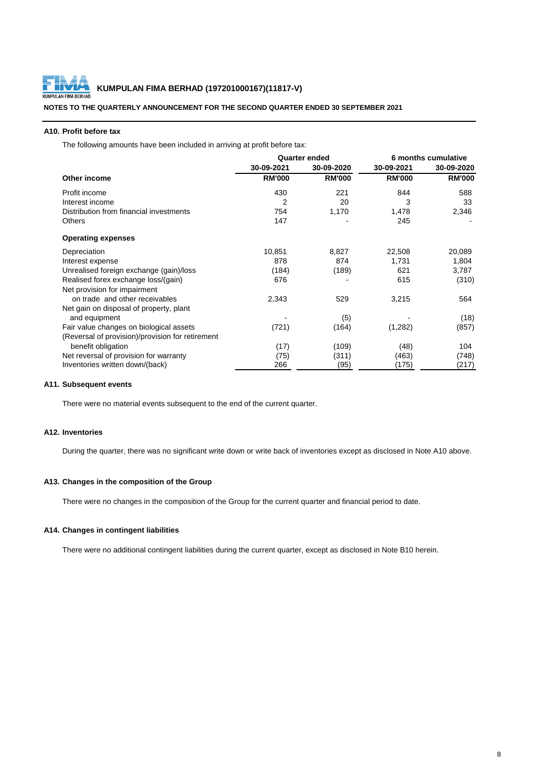

#### **A10. Profit before tax**

The following amounts have been included in arriving at profit before tax:

|                                                  | <b>Quarter ended</b> |               | 6 months cumulative |               |
|--------------------------------------------------|----------------------|---------------|---------------------|---------------|
|                                                  | 30-09-2021           | 30-09-2020    | 30-09-2021          | 30-09-2020    |
| Other income                                     | <b>RM'000</b>        | <b>RM'000</b> | <b>RM'000</b>       | <b>RM'000</b> |
| Profit income                                    | 430                  | 221           | 844                 | 588           |
| Interest income                                  | $\overline{2}$       | 20            | 3                   | 33            |
| Distribution from financial investments          | 754                  | 1,170         | 1,478               | 2,346         |
| <b>Others</b>                                    | 147                  |               | 245                 |               |
| <b>Operating expenses</b>                        |                      |               |                     |               |
| Depreciation                                     | 10,851               | 8,827         | 22,508              | 20,089        |
| Interest expense                                 | 878                  | 874           | 1,731               | 1,804         |
| Unrealised foreign exchange (gain)/loss          | (184)                | (189)         | 621                 | 3,787         |
| Realised forex exchange loss/(gain)              | 676                  |               | 615                 | (310)         |
| Net provision for impairment                     |                      |               |                     |               |
| on trade and other receivables                   | 2,343                | 529           | 3,215               | 564           |
| Net gain on disposal of property, plant          |                      |               |                     |               |
| and equipment                                    |                      | (5)           |                     | (18)          |
| Fair value changes on biological assets          | (721)                | (164)         | (1,282)             | (857)         |
| (Reversal of provision)/provision for retirement |                      |               |                     |               |
| benefit obligation                               | (17)                 | (109)         | (48)                | 104           |
| Net reversal of provision for warranty           | (75)                 | (311)         | (463)               | (748)         |
| Inventories written down/(back)                  | 266                  | (95)          | (175)               | (217)         |

#### **A11. Subsequent events**

There were no material events subsequent to the end of the current quarter.

#### **A12. Inventories**

During the quarter, there was no significant write down or write back of inventories except as disclosed in Note A10 above.

#### **A13. Changes in the composition of the Group**

There were no changes in the composition of the Group for the current quarter and financial period to date.

#### **A14. Changes in contingent liabilities**

There were no additional contingent liabilities during the current quarter, except as disclosed in Note B10 herein.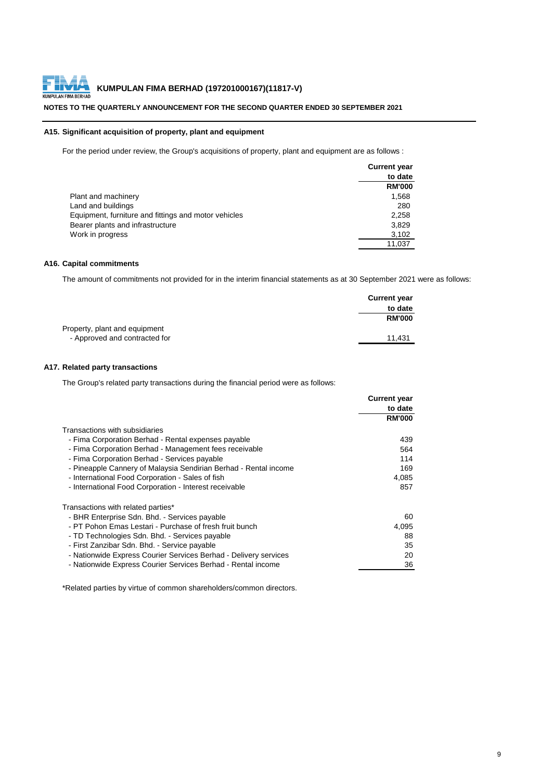#### **NOTES TO THE QUARTERLY ANNOUNCEMENT FOR THE SECOND QUARTER ENDED 30 SEPTEMBER 2021**

#### **A15. Significant acquisition of property, plant and equipment**

For the period under review, the Group's acquisitions of property, plant and equipment are as follows :

|                                                      | <b>Current year</b> |
|------------------------------------------------------|---------------------|
|                                                      | to date             |
|                                                      | <b>RM'000</b>       |
| Plant and machinery                                  | 1,568               |
| Land and buildings                                   | 280                 |
| Equipment, furniture and fittings and motor vehicles | 2,258               |
| Bearer plants and infrastructure                     | 3,829               |
| Work in progress                                     | 3,102               |
|                                                      | 11,037              |

#### **A16. Capital commitments**

The amount of commitments not provided for in the interim financial statements as at 30 September 2021 were as follows:

|                               | <b>Current year</b> |
|-------------------------------|---------------------|
|                               | to date             |
|                               | <b>RM'000</b>       |
| Property, plant and equipment |                     |
| - Approved and contracted for | 11.431              |

#### **A17. Related party transactions**

The Group's related party transactions during the financial period were as follows:

|                                                                  | <b>Current year</b> |
|------------------------------------------------------------------|---------------------|
|                                                                  | to date             |
|                                                                  | <b>RM'000</b>       |
| Transactions with subsidiaries                                   |                     |
| - Fima Corporation Berhad - Rental expenses payable              | 439                 |
| - Fima Corporation Berhad - Management fees receivable           | 564                 |
| - Fima Corporation Berhad - Services payable                     | 114                 |
| - Pineapple Cannery of Malaysia Sendirian Berhad - Rental income | 169                 |
| - International Food Corporation - Sales of fish                 | 4,085               |
| - International Food Corporation - Interest receivable           | 857                 |
| Transactions with related parties*                               |                     |
| - BHR Enterprise Sdn. Bhd. - Services payable                    | 60                  |
| - PT Pohon Emas Lestari - Purchase of fresh fruit bunch          | 4,095               |
| - TD Technologies Sdn. Bhd. - Services payable                   | 88                  |
| - First Zanzibar Sdn. Bhd. - Service payable                     | 35                  |
| - Nationwide Express Courier Services Berhad - Delivery services | 20                  |
| - Nationwide Express Courier Services Berhad - Rental income     | 36                  |

\*Related parties by virtue of common shareholders/common directors.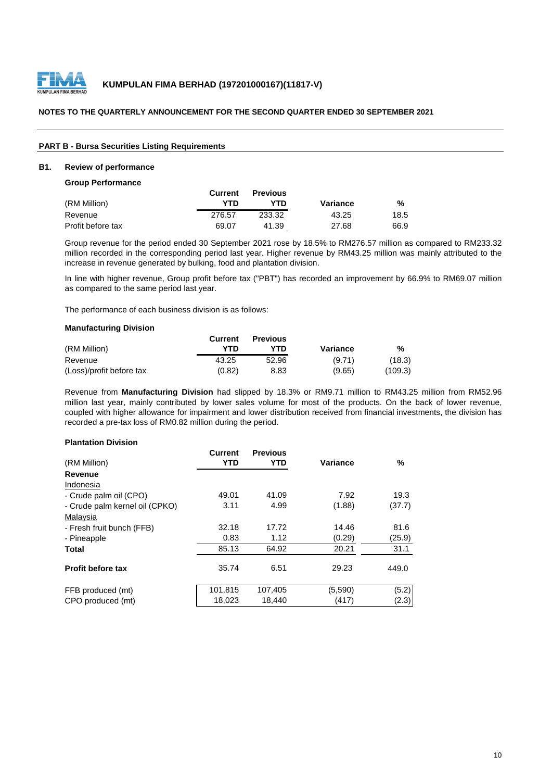

#### **PART B - Bursa Securities Listing Requirements**

#### **B1. Review of performance**

#### **Group Performance**

|                   | Current | <b>Previous</b> |          |      |
|-------------------|---------|-----------------|----------|------|
| (RM Million)      | YTD     | YTD             | Variance | %    |
| Revenue           | 276.57  | 233.32          | 43.25    | 18.5 |
| Profit before tax | 69.07   | 41.39           | 27.68    | 66.9 |

Group revenue for the period ended 30 September 2021 rose by 18.5% to RM276.57 million as compared to RM233.32 million recorded in the corresponding period last year. Higher revenue by RM43.25 million was mainly attributed to the increase in revenue generated by bulking, food and plantation division.

In line with higher revenue, Group profit before tax ("PBT") has recorded an improvement by 66.9% to RM69.07 million as compared to the same period last year.

The performance of each business division is as follows:

#### **Manufacturing Division**

|                          | Current | <b>Previous</b> |          |         |
|--------------------------|---------|-----------------|----------|---------|
| (RM Million)             | YTD     | YTN             | Variance | %       |
| Revenue                  | 43.25   | 52.96           | (9.71)   | (18.3)  |
| (Loss)/profit before tax | (0.82)  | 8.83            | (9.65)   | (109.3) |

Revenue from **Manufacturing Division** had slipped by 18.3% or RM9.71 million to RM43.25 million from RM52.96 million last year, mainly contributed by lower sales volume for most of the products. On the back of lower revenue, coupled with higher allowance for impairment and lower distribution received from financial investments, the division has recorded a pre-tax loss of RM0.82 million during the period.

#### **Plantation Division**

| <b>Current</b> | <b>Previous</b>     |             |                          |
|----------------|---------------------|-------------|--------------------------|
|                |                     |             | %                        |
|                |                     |             |                          |
|                |                     |             |                          |
| 49.01          | 41.09               | 7.92        | 19.3                     |
| 3.11           | 4.99                | (1.88)      | (37.7)                   |
|                |                     |             |                          |
| 32.18          | 17.72               | 14.46       | 81.6                     |
| 0.83           | 1.12                | (0.29)      | (25.9)                   |
| 85.13          | 64.92               | 20.21       | 31.1                     |
|                |                     |             | 449.0                    |
|                |                     |             |                          |
| 101,815        | 107,405             | (5,590)     | (5.2)                    |
| 18,023         | 18,440              | (417)       | (2.3)                    |
|                | <b>YTD</b><br>35.74 | YTD<br>6.51 | <b>Variance</b><br>29.23 |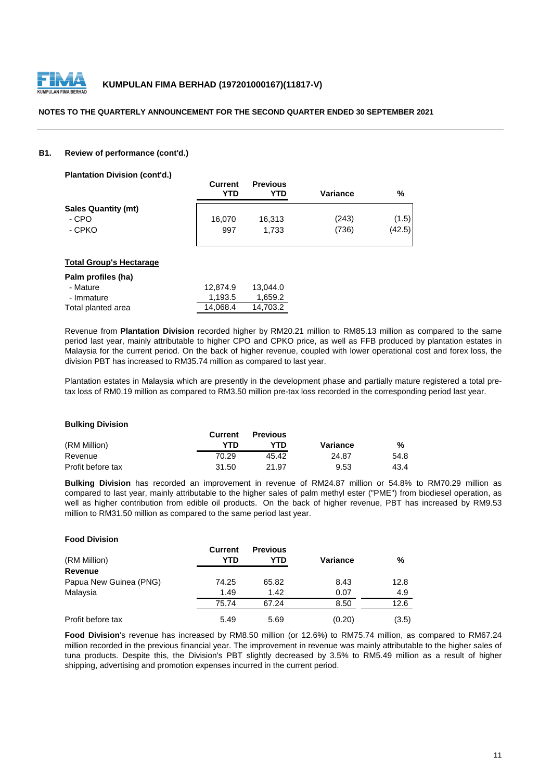

#### **B1. Review of performance (cont'd.)**

**Plantation Division (cont'd.)**

|                            | <b>Current</b><br>YTD | <b>Previous</b><br>YTD | <b>Variance</b> | %      |
|----------------------------|-----------------------|------------------------|-----------------|--------|
| <b>Sales Quantity (mt)</b> |                       |                        |                 |        |
| - CPO                      | 16,070                | 16,313                 | (243)           | (1.5)  |
| - CPKO                     | 997                   | 1.733                  | (736)           | (42.5) |

#### **Total Group's Hectarage**

| Palm profiles (ha) |          |          |
|--------------------|----------|----------|
| - Mature           | 12.874.9 | 13.044.0 |
| - Immature         | 1.193.5  | 1.659.2  |
| Total planted area | 14.068.4 | 14.703.2 |

Revenue from **Plantation Division** recorded higher by RM20.21 million to RM85.13 million as compared to the same period last year, mainly attributable to higher CPO and CPKO price, as well as FFB produced by plantation estates in Malaysia for the current period. On the back of higher revenue, coupled with lower operational cost and forex loss, the division PBT has increased to RM35.74 million as compared to last year.

Plantation estates in Malaysia which are presently in the development phase and partially mature registered a total pretax loss of RM0.19 million as compared to RM3.50 million pre-tax loss recorded in the corresponding period last year.

#### **Bulking Division**

**Food Division**

|                   | Current | <b>Previous</b> |          |      |
|-------------------|---------|-----------------|----------|------|
| (RM Million)      | YTD     | YTD             | Variance | %    |
| Revenue           | 70.29   | 45.42           | 24.87    | 54.8 |
| Profit before tax | 31.50   | 21.97           | 9.53     | 43.4 |

**Bulking Division** has recorded an improvement in revenue of RM24.87 million or 54.8% to RM70.29 million as compared to last year, mainly attributable to the higher sales of palm methyl ester ("PME") from biodiesel operation, as well as higher contribution from edible oil products. On the back of higher revenue, PBT has increased by RM9.53 million to RM31.50 million as compared to the same period last year.

| ווטופוזוע וטטט ו       |                |                        |          |       |
|------------------------|----------------|------------------------|----------|-------|
| (RM Million)           | Current<br>YTD | <b>Previous</b><br>YTD | Variance | %     |
| Revenue                |                |                        |          |       |
| Papua New Guinea (PNG) | 74.25          | 65.82                  | 8.43     | 12.8  |
| Malaysia               | 1.49           | 1.42                   | 0.07     | 4.9   |
|                        | 75.74          | 67.24                  | 8.50     | 12.6  |
| Profit before tax      | 5.49           | 5.69                   | (0.20)   | (3.5) |

**Food Division**'s revenue has increased by RM8.50 million (or 12.6%) to RM75.74 million, as compared to RM67.24 million recorded in the previous financial year. The improvement in revenue was mainly attributable to the higher sales of tuna products. Despite this, the Division's PBT slightly decreased by 3.5% to RM5.49 million as a result of higher shipping, advertising and promotion expenses incurred in the current period.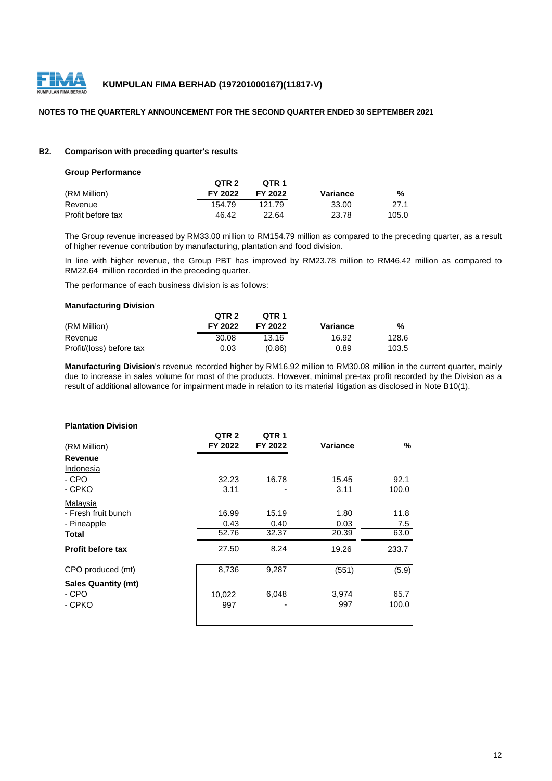

#### **B2. Comparison with preceding quarter's results**

#### **Group Performance**

|                   | QTR 2   | OTR 1   |          |       |
|-------------------|---------|---------|----------|-------|
| (RM Million)      | FY 2022 | FY 2022 | Variance | %     |
| Revenue           | 154.79  | 121 79  | 33.00    | 27.1  |
| Profit before tax | 46.42   | 22.64   | 23.78    | 105.0 |

The Group revenue increased by RM33.00 million to RM154.79 million as compared to the preceding quarter, as a result of higher revenue contribution by manufacturing, plantation and food division.

In line with higher revenue, the Group PBT has improved by RM23.78 million to RM46.42 million as compared to RM22.64 million recorded in the preceding quarter.

The performance of each business division is as follows:

#### **Manufacturing Division**

|                          | QTR <sub>2</sub> | OTR <sub>1</sub> |          |       |
|--------------------------|------------------|------------------|----------|-------|
| (RM Million)             | FY 2022          | FY 2022          | Variance | %     |
| Revenue                  | 30.08            | 13.16            | 16.92    | 128.6 |
| Profit/(loss) before tax | 0.03             | (0.86)           | 0.89     | 103.5 |

**Manufacturing Division**'s revenue recorded higher by RM16.92 million to RM30.08 million in the current quarter, mainly due to increase in sales volume for most of the products. However, minimal pre-tax profit recorded by the Division as a result of additional allowance for impairment made in relation to its material litigation as disclosed in Note B10(1).

## **Plantation Division**

|                            | QTR <sub>2</sub> | QTR <sub>1</sub> |                 |       |
|----------------------------|------------------|------------------|-----------------|-------|
| (RM Million)               | FY 2022          | FY 2022          | <b>Variance</b> | %     |
| Revenue                    |                  |                  |                 |       |
| Indonesia                  |                  |                  |                 |       |
| - CPO                      | 32.23            | 16.78            | 15.45           | 92.1  |
| - CPKO                     | 3.11             |                  | 3.11            | 100.0 |
| Malaysia                   |                  |                  |                 |       |
| - Fresh fruit bunch        | 16.99            | 15.19            | 1.80            | 11.8  |
| - Pineapple                | 0.43             | 0.40             | 0.03            | 7.5   |
| Total                      | 52.76            | 32.37            | 20.39           | 63.0  |
| <b>Profit before tax</b>   | 27.50            | 8.24             | 19.26           | 233.7 |
| CPO produced (mt)          | 8,736            | 9,287            | (551)           | (5.9) |
| <b>Sales Quantity (mt)</b> |                  |                  |                 |       |
| - CPO                      | 10,022           | 6,048            | 3,974           | 65.7  |
| - CPKO                     | 997              |                  | 997             | 100.0 |
|                            |                  |                  |                 |       |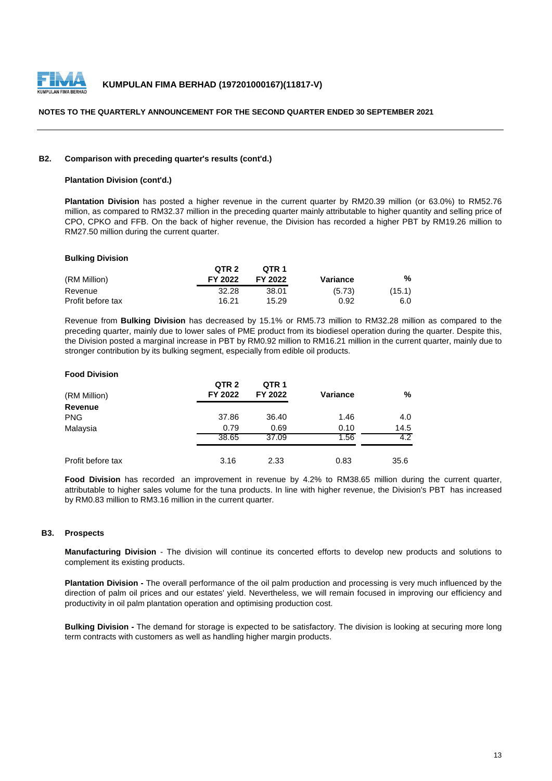

#### **B2. Comparison with preceding quarter's results (cont'd.)**

#### **Plantation Division (cont'd.)**

**Plantation Division** has posted a higher revenue in the current quarter by RM20.39 million (or 63.0%) to RM52.76 million, as compared to RM32.37 million in the preceding quarter mainly attributable to higher quantity and selling price of CPO, CPKO and FFB. On the back of higher revenue, the Division has recorded a higher PBT by RM19.26 million to RM27.50 million during the current quarter.

#### **Bulking Division**

|                   | QTR <sub>2</sub> | QTR <sub>1</sub> |          |        |
|-------------------|------------------|------------------|----------|--------|
| (RM Million)      | FY 2022          | FY 2022          | Variance | %      |
| Revenue           | 32.28            | 38.01            | (5.73)   | (15.1) |
| Profit before tax | 16.21            | 15.29            | 0.92     | 6.0    |

Revenue from **Bulking Division** has decreased by 15.1% or RM5.73 million to RM32.28 million as compared to the preceding quarter, mainly due to lower sales of PME product from its biodiesel operation during the quarter. Despite this, the Division posted a marginal increase in PBT by RM0.92 million to RM16.21 million in the current quarter, mainly due to stronger contribution by its bulking segment, especially from edible oil products.

#### **Food Division**

| (RM Million)      | QTR <sub>2</sub><br>FY 2022 | QTR <sub>1</sub><br>FY 2022 | <b>Variance</b> | %    |
|-------------------|-----------------------------|-----------------------------|-----------------|------|
| Revenue           |                             |                             |                 |      |
| <b>PNG</b>        | 37.86                       | 36.40                       | 1.46            | 4.0  |
| Malaysia          | 0.79                        | 0.69                        | 0.10            | 14.5 |
|                   | 38.65                       | 37.09                       | 1.56            | 4.2  |
| Profit before tax | 3.16                        | 2.33                        | 0.83            | 35.6 |

**Food Division** has recorded an improvement in revenue by 4.2% to RM38.65 million during the current quarter, attributable to higher sales volume for the tuna products. In line with higher revenue, the Division's PBT has increased by RM0.83 million to RM3.16 million in the current quarter.

#### **B3. Prospects**

**Manufacturing Division** - The division will continue its concerted efforts to develop new products and solutions to complement its existing products.

**Plantation Division -** The overall performance of the oil palm production and processing is very much influenced by the direction of palm oil prices and our estates' yield. Nevertheless, we will remain focused in improving our efficiency and productivity in oil palm plantation operation and optimising production cost.

**Bulking Division -** The demand for storage is expected to be satisfactory. The division is looking at securing more long term contracts with customers as well as handling higher margin products.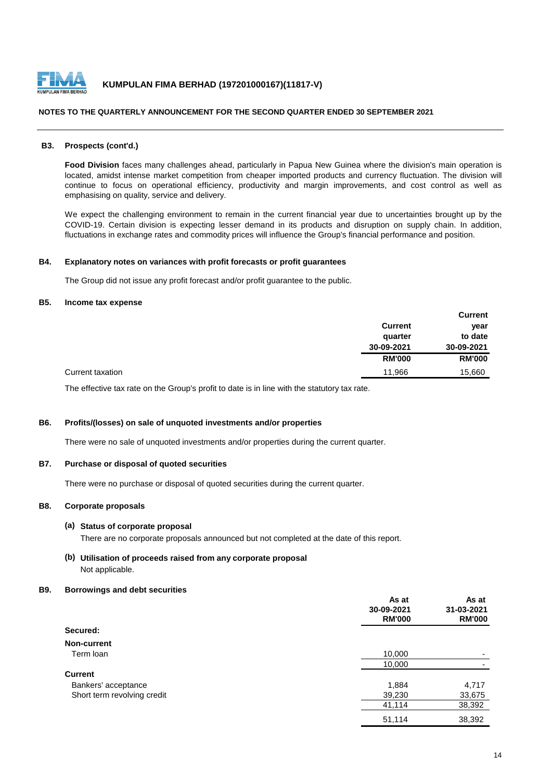

#### **B3. Prospects (cont'd.)**

**Food Division** faces many challenges ahead, particularly in Papua New Guinea where the division's main operation is located, amidst intense market competition from cheaper imported products and currency fluctuation. The division will continue to focus on operational efficiency, productivity and margin improvements, and cost control as well as emphasising on quality, service and delivery.

We expect the challenging environment to remain in the current financial year due to uncertainties brought up by the COVID-19. Certain division is expecting lesser demand in its products and disruption on supply chain. In addition, fluctuations in exchange rates and commodity prices will influence the Group's financial performance and position.

#### **B4. Explanatory notes on variances with profit forecasts or profit guarantees**

The Group did not issue any profit forecast and/or profit guarantee to the public.

#### **B5. Income tax expense**

|                  |                | <b>Current</b> |
|------------------|----------------|----------------|
|                  | <b>Current</b> | year           |
|                  | quarter        | to date        |
|                  | 30-09-2021     | 30-09-2021     |
|                  | <b>RM'000</b>  | <b>RM'000</b>  |
| Current taxation | 11,966         | 15,660         |

The effective tax rate on the Group's profit to date is in line with the statutory tax rate.

#### **B6. Profits/(losses) on sale of unquoted investments and/or properties**

There were no sale of unquoted investments and/or properties during the current quarter.

#### **B7. Purchase or disposal of quoted securities**

There were no purchase or disposal of quoted securities during the current quarter.

#### **B8. Corporate proposals**

#### **(a) Status of corporate proposal**

There are no corporate proposals announced but not completed at the date of this report.

**(b) Utilisation of proceeds raised from any corporate proposal** Not applicable.

#### **B9. Borrowings and debt securities**

|                             | As at<br>30-09-2021<br><b>RM'000</b> | As at<br>31-03-2021<br><b>RM'000</b> |
|-----------------------------|--------------------------------------|--------------------------------------|
| Secured:                    |                                      |                                      |
| Non-current                 |                                      |                                      |
| Term Ioan                   | 10,000                               | ۰                                    |
|                             | 10,000                               |                                      |
| <b>Current</b>              |                                      |                                      |
| Bankers' acceptance         | 1,884                                | 4,717                                |
| Short term revolving credit | 39,230                               | 33,675                               |
|                             | 41,114                               | 38,392                               |
|                             | 51,114                               | 38,392                               |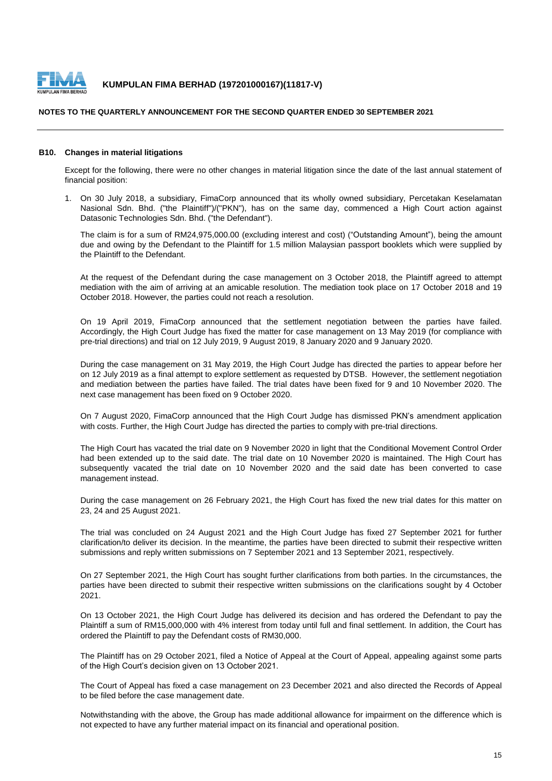

#### **NOTES TO THE QUARTERLY ANNOUNCEMENT FOR THE SECOND QUARTER ENDED 30 SEPTEMBER 2021**

#### **B10. Changes in material litigations**

Except for the following, there were no other changes in material litigation since the date of the last annual statement of financial position:

1. On 30 July 2018, a subsidiary, FimaCorp announced that its wholly owned subsidiary, Percetakan Keselamatan Nasional Sdn. Bhd. ("the Plaintiff")/("PKN"), has on the same day, commenced a High Court action against Datasonic Technologies Sdn. Bhd. ("the Defendant").

The claim is for a sum of RM24,975,000.00 (excluding interest and cost) ("Outstanding Amount"), being the amount due and owing by the Defendant to the Plaintiff for 1.5 million Malaysian passport booklets which were supplied by the Plaintiff to the Defendant.

At the request of the Defendant during the case management on 3 October 2018, the Plaintiff agreed to attempt mediation with the aim of arriving at an amicable resolution. The mediation took place on 17 October 2018 and 19 October 2018. However, the parties could not reach a resolution.

On 19 April 2019, FimaCorp announced that the settlement negotiation between the parties have failed. Accordingly, the High Court Judge has fixed the matter for case management on 13 May 2019 (for compliance with pre-trial directions) and trial on 12 July 2019, 9 August 2019, 8 January 2020 and 9 January 2020.

During the case management on 31 May 2019, the High Court Judge has directed the parties to appear before her on 12 July 2019 as a final attempt to explore settlement as requested by DTSB. However, the settlement negotiation and mediation between the parties have failed. The trial dates have been fixed for 9 and 10 November 2020. The next case management has been fixed on 9 October 2020.

On 7 August 2020, FimaCorp announced that the High Court Judge has dismissed PKN's amendment application with costs. Further, the High Court Judge has directed the parties to comply with pre-trial directions.

The High Court has vacated the trial date on 9 November 2020 in light that the Conditional Movement Control Order had been extended up to the said date. The trial date on 10 November 2020 is maintained. The High Court has subsequently vacated the trial date on 10 November 2020 and the said date has been converted to case management instead.

During the case management on 26 February 2021, the High Court has fixed the new trial dates for this matter on 23, 24 and 25 August 2021.

The trial was concluded on 24 August 2021 and the High Court Judge has fixed 27 September 2021 for further clarification/to deliver its decision. In the meantime, the parties have been directed to submit their respective written submissions and reply written submissions on 7 September 2021 and 13 September 2021, respectively.

On 27 September 2021, the High Court has sought further clarifications from both parties. In the circumstances, the parties have been directed to submit their respective written submissions on the clarifications sought by 4 October 2021.

On 13 October 2021, the High Court Judge has delivered its decision and has ordered the Defendant to pay the Plaintiff a sum of RM15,000,000 with 4% interest from today until full and final settlement. In addition, the Court has ordered the Plaintiff to pay the Defendant costs of RM30,000.

The Plaintiff has on 29 October 2021, filed a Notice of Appeal at the Court of Appeal, appealing against some parts of the High Court's decision given on 13 October 2021.

The Court of Appeal has fixed a case management on 23 December 2021 and also directed the Records of Appeal to be filed before the case management date.

Notwithstanding with the above, the Group has made additional allowance for impairment on the difference which is not expected to have any further material impact on its financial and operational position.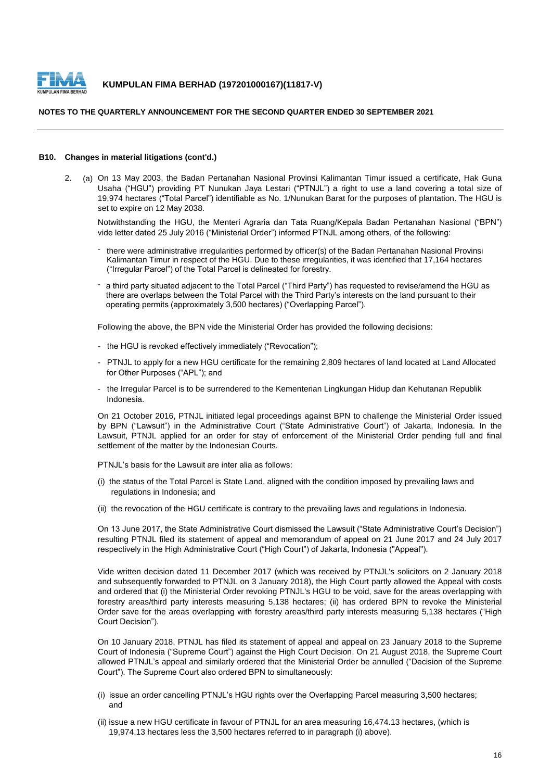

#### **B10. Changes in material litigations (cont'd.)**

2. (a) On 13 May 2003, the Badan Pertanahan Nasional Provinsi Kalimantan Timur issued a certificate, Hak Guna Usaha ("HGU") providing PT Nunukan Jaya Lestari ("PTNJL") a right to use a land covering a total size of 19,974 hectares ("Total Parcel") identifiable as No. 1/Nunukan Barat for the purposes of plantation. The HGU is set to expire on 12 May 2038.

Notwithstanding the HGU, the Menteri Agraria dan Tata Ruang/Kepala Badan Pertanahan Nasional ("BPN") vide letter dated 25 July 2016 ("Ministerial Order") informed PTNJL among others, of the following:

- there were administrative irregularities performed by officer(s) of the Badan Pertanahan Nasional Provinsi Kalimantan Timur in respect of the HGU. Due to these irregularities, it was identified that 17,164 hectares ("Irregular Parcel") of the Total Parcel is delineated for forestry.
- a third party situated adjacent to the Total Parcel ("Third Party") has requested to revise/amend the HGU as there are overlaps between the Total Parcel with the Third Party's interests on the land pursuant to their operating permits (approximately 3,500 hectares) ("Overlapping Parcel").

Following the above, the BPN vide the Ministerial Order has provided the following decisions:

- the HGU is revoked effectively immediately ("Revocation");
- PTNJL to apply for a new HGU certificate for the remaining 2,809 hectares of land located at Land Allocated for Other Purposes ("APL"); and
- the Irregular Parcel is to be surrendered to the Kementerian Lingkungan Hidup dan Kehutanan Republik Indonesia.

On 21 October 2016, PTNJL initiated legal proceedings against BPN to challenge the Ministerial Order issued by BPN ("Lawsuit") in the Administrative Court ("State Administrative Court") of Jakarta, Indonesia. In the Lawsuit, PTNJL applied for an order for stay of enforcement of the Ministerial Order pending full and final settlement of the matter by the Indonesian Courts.

PTNJL's basis for the Lawsuit are inter alia as follows:

- (i) the status of the Total Parcel is State Land, aligned with the condition imposed by prevailing laws and regulations in Indonesia; and
- (ii) the revocation of the HGU certificate is contrary to the prevailing laws and regulations in Indonesia.

On 13 June 2017, the State Administrative Court dismissed the Lawsuit ("State Administrative Court's Decision") resulting PTNJL filed its statement of appeal and memorandum of appeal on 21 June 2017 and 24 July 2017 respectively in the High Administrative Court ("High Court") of Jakarta, Indonesia ("Appeal").

Vide written decision dated 11 December 2017 (which was received by PTNJL's solicitors on 2 January 2018 and subsequently forwarded to PTNJL on 3 January 2018), the High Court partly allowed the Appeal with costs and ordered that (i) the Ministerial Order revoking PTNJL's HGU to be void, save for the areas overlapping with forestry areas/third party interests measuring 5,138 hectares; (ii) has ordered BPN to revoke the Ministerial Order save for the areas overlapping with forestry areas/third party interests measuring 5,138 hectares ("High Court Decision").

On 10 January 2018, PTNJL has filed its statement of appeal and appeal on 23 January 2018 to the Supreme Court of Indonesia ("Supreme Court") against the High Court Decision. On 21 August 2018, the Supreme Court allowed PTNJL's appeal and similarly ordered that the Ministerial Order be annulled ("Decision of the Supreme Court"). The Supreme Court also ordered BPN to simultaneously:

- (i) issue an order cancelling PTNJL's HGU rights over the Overlapping Parcel measuring 3,500 hectares; and
- (ii) issue a new HGU certificate in favour of PTNJL for an area measuring 16,474.13 hectares, (which is 19,974.13 hectares less the 3,500 hectares referred to in paragraph (i) above).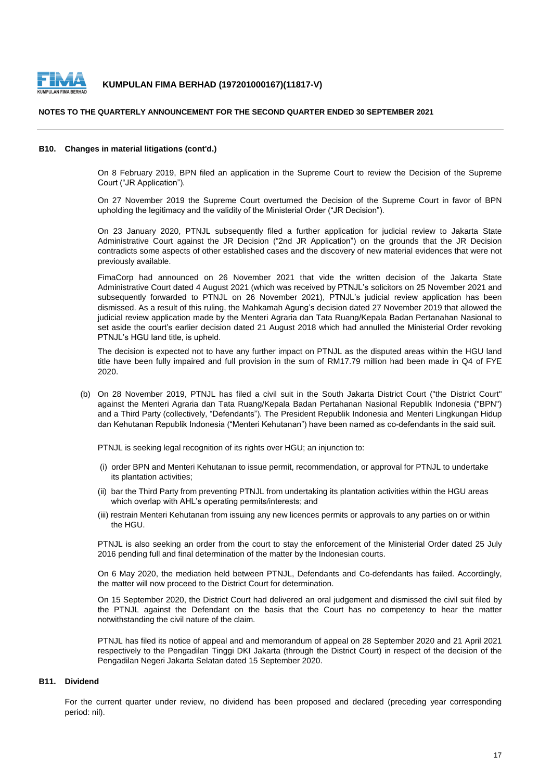

#### **NOTES TO THE QUARTERLY ANNOUNCEMENT FOR THE SECOND QUARTER ENDED 30 SEPTEMBER 2021**

#### **B10. Changes in material litigations (cont'd.)**

On 8 February 2019, BPN filed an application in the Supreme Court to review the Decision of the Supreme Court ("JR Application").

On 27 November 2019 the Supreme Court overturned the Decision of the Supreme Court in favor of BPN upholding the legitimacy and the validity of the Ministerial Order ("JR Decision").

On 23 January 2020, PTNJL subsequently filed a further application for judicial review to Jakarta State Administrative Court against the JR Decision ("2nd JR Application") on the grounds that the JR Decision contradicts some aspects of other established cases and the discovery of new material evidences that were not previously available.

FimaCorp had announced on 26 November 2021 that vide the written decision of the Jakarta State Administrative Court dated 4 August 2021 (which was received by PTNJL's solicitors on 25 November 2021 and subsequently forwarded to PTNJL on 26 November 2021), PTNJL's judicial review application has been dismissed. As a result of this ruling, the Mahkamah Agung's decision dated 27 November 2019 that allowed the judicial review application made by the Menteri Agraria dan Tata Ruang/Kepala Badan Pertanahan Nasional to set aside the court's earlier decision dated 21 August 2018 which had annulled the Ministerial Order revoking PTNJL's HGU land title, is upheld.

The decision is expected not to have any further impact on PTNJL as the disputed areas within the HGU land title have been fully impaired and full provision in the sum of RM17.79 million had been made in Q4 of FYE 2020.

(b) On 28 November 2019, PTNJL has filed a civil suit in the South Jakarta District Court ("the District Court" against the Menteri Agraria dan Tata Ruang/Kepala Badan Pertahanan Nasional Republik Indonesia ("BPN") and a Third Party (collectively, "Defendants"). The President Republik Indonesia and Menteri Lingkungan Hidup dan Kehutanan Republik Indonesia ("Menteri Kehutanan") have been named as co-defendants in the said suit.

PTNJL is seeking legal recognition of its rights over HGU; an injunction to:

- (i) order BPN and Menteri Kehutanan to issue permit, recommendation, or approval for PTNJL to undertake its plantation activities;
- (ii) bar the Third Party from preventing PTNJL from undertaking its plantation activities within the HGU areas which overlap with AHL's operating permits/interests; and
- (iii) restrain Menteri Kehutanan from issuing any new licences permits or approvals to any parties on or within the HGU.

PTNJL is also seeking an order from the court to stay the enforcement of the Ministerial Order dated 25 July 2016 pending full and final determination of the matter by the Indonesian courts.

On 6 May 2020, the mediation held between PTNJL, Defendants and Co-defendants has failed. Accordingly, the matter will now proceed to the District Court for determination.

On 15 September 2020, the District Court had delivered an oral judgement and dismissed the civil suit filed by the PTNJL against the Defendant on the basis that the Court has no competency to hear the matter notwithstanding the civil nature of the claim.

PTNJL has filed its notice of appeal and and memorandum of appeal on 28 September 2020 and 21 April 2021 respectively to the Pengadilan Tinggi DKI Jakarta (through the District Court) in respect of the decision of the Pengadilan Negeri Jakarta Selatan dated 15 September 2020.

## **B11. Dividend**

For the current quarter under review, no dividend has been proposed and declared (preceding year corresponding period: nil).